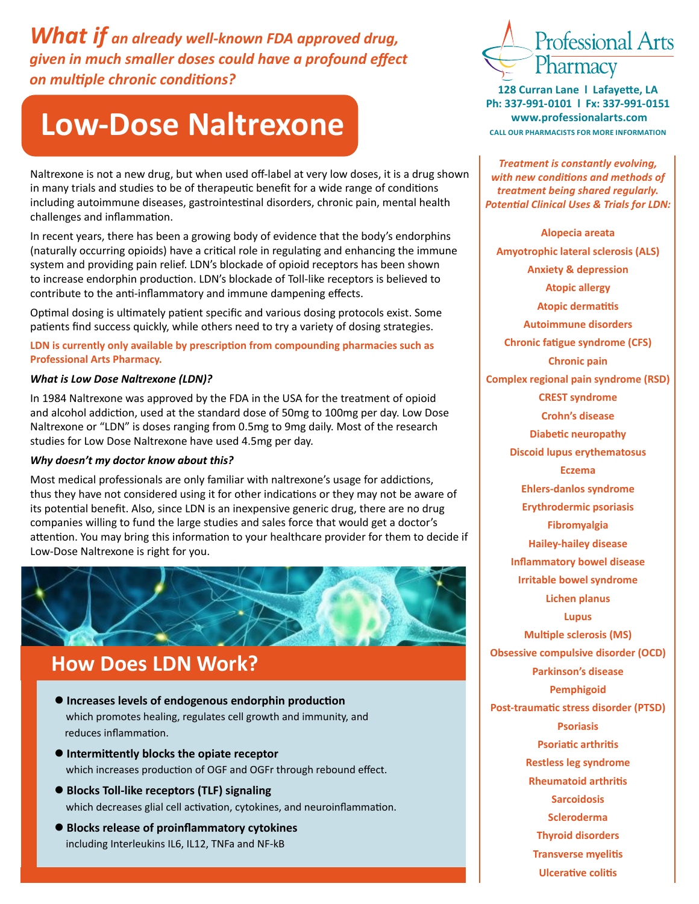*What if an already well-known FDA approved drug, given in much smaller doses could have a profound effect on multiple chronic conditions?* 

# **Low-Dose Naltrexone**

Naltrexone is not a new drug, but when used off-label at very low doses, it is a drug shown in many trials and studies to be of therapeutic benefit for a wide range of conditions including autoimmune diseases, gastrointestinal disorders, chronic pain, mental health challenges and inflammation.

In recent years, there has been a growing body of evidence that the body's endorphins (naturally occurring opioids) have a critical role in regulating and enhancing the immune system and providing pain relief. LDN's blockade of opioid receptors has been shown to increase endorphin production. LDN's blockade of Toll-like receptors is believed to contribute to the anti-inflammatory and immune dampening effects.

Optimal dosing is ultimately patient specific and various dosing protocols exist. Some patients find success quickly, while others need to try a variety of dosing strategies.

**LDN is currently only available by prescription from compounding pharmacies such as Professional Arts Pharmacy.**

## *What is Low Dose Naltrexone (LDN)?*

In 1984 Naltrexone was approved by the FDA in the USA for the treatment of opioid and alcohol addiction, used at the standard dose of 50mg to 100mg per day. Low Dose Naltrexone or "LDN" is doses ranging from 0.5mg to 9mg daily. Most of the research studies for Low Dose Naltrexone have used 4.5mg per day.

### *Why doesn't my doctor know about this?*

Most medical professionals are only familiar with naltrexone's usage for addictions, thus they have not considered using it for other indications or they may not be aware of its potential benefit. Also, since LDN is an inexpensive generic drug, there are no drug companies willing to fund the large studies and sales force that would get a doctor's attention. You may bring this information to your healthcare provider for them to decide if Low-Dose Naltrexone is right for you.



# **How Does LDN Work?**

- l **Increases levels of endogenous endorphin production** which promotes healing, regulates cell growth and immunity, and reduces inflammation.
- l **Intermittently blocks the opiate receptor** which increases production of OGF and OGFr through rebound effect.
- Blocks Toll-like receptors (TLF) signaling which decreases glial cell activation, cytokines, and neuroinflammation.
- l **Blocks release of proinflammatory cytokines** including Interleukins IL6, IL12, TNFa and NF-kB



**128 Curran Lane l Lafayette, LA Ph: 337-991-0101 l Fx: 337-991-0151 www.professionalarts.com CALL OUR PHARMACISTS FOR MORE INFORMATION**

*Treatment is constantly evolving, with new conditions and methods of treatment being shared regularly. Potential Clinical Uses & Trials for LDN:*

**Alopecia areata Amyotrophic lateral sclerosis (ALS) Anxiety & depression Atopic allergy Atopic dermatitis Autoimmune disorders Chronic fatigue syndrome (CFS) Chronic pain Complex regional pain syndrome (RSD) CREST syndrome Crohn's disease Diabetic neuropathy Discoid lupus erythematosus Eczema Ehlers-danlos syndrome Erythrodermic psoriasis Fibromyalgia Hailey-hailey disease Inflammatory bowel disease Irritable bowel syndrome Lichen planus Lupus Multiple sclerosis (MS) Obsessive compulsive disorder (OCD) Parkinson's disease Pemphigoid Post-traumatic stress disorder (PTSD) Psoriasis Psoriatic arthritis Restless leg syndrome Rheumatoid arthritis Sarcoidosis Scleroderma Thyroid disorders Transverse myelitis Ulcerative colitis**